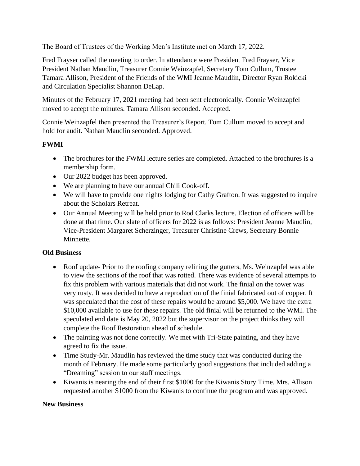The Board of Trustees of the Working Men's Institute met on March 17, 2022.

Fred Frayser called the meeting to order. In attendance were President Fred Frayser, Vice President Nathan Maudlin, Treasurer Connie Weinzapfel, Secretary Tom Cullum, Trustee Tamara Allison, President of the Friends of the WMI Jeanne Maudlin, Director Ryan Rokicki and Circulation Specialist Shannon DeLap.

Minutes of the February 17, 2021 meeting had been sent electronically. Connie Weinzapfel moved to accept the minutes. Tamara Allison seconded. Accepted.

Connie Weinzapfel then presented the Treasurer's Report. Tom Cullum moved to accept and hold for audit. Nathan Maudlin seconded. Approved.

## **FWMI**

- The brochures for the FWMI lecture series are completed. Attached to the brochures is a membership form.
- Our 2022 budget has been approved.
- We are planning to have our annual Chili Cook-off.
- We will have to provide one nights lodging for Cathy Grafton. It was suggested to inquire about the Scholars Retreat.
- Our Annual Meeting will be held prior to Rod Clarks lecture. Election of officers will be done at that time. Our slate of officers for 2022 is as follows: President Jeanne Maudlin, Vice-President Margaret Scherzinger, Treasurer Christine Crews, Secretary Bonnie Minnette.

## **Old Business**

- Roof update- Prior to the roofing company relining the gutters, Ms. Weinzapfel was able to view the sections of the roof that was rotted. There was evidence of several attempts to fix this problem with various materials that did not work. The finial on the tower was very rusty. It was decided to have a reproduction of the finial fabricated out of copper. It was speculated that the cost of these repairs would be around \$5,000. We have the extra \$10,000 available to use for these repairs. The old finial will be returned to the WMI. The speculated end date is May 20, 2022 but the supervisor on the project thinks they will complete the Roof Restoration ahead of schedule.
- The painting was not done correctly. We met with Tri-State painting, and they have agreed to fix the issue.
- Time Study-Mr. Maudlin has reviewed the time study that was conducted during the month of February. He made some particularly good suggestions that included adding a "Dreaming" session to our staff meetings.
- Kiwanis is nearing the end of their first \$1000 for the Kiwanis Story Time. Mrs. Allison requested another \$1000 from the Kiwanis to continue the program and was approved.

## **New Business**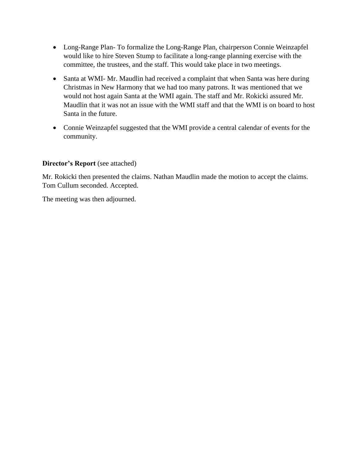- Long-Range Plan- To formalize the Long-Range Plan, chairperson Connie Weinzapfel would like to hire Steven Stump to facilitate a long-range planning exercise with the committee, the trustees, and the staff. This would take place in two meetings.
- Santa at WMI- Mr. Maudlin had received a complaint that when Santa was here during Christmas in New Harmony that we had too many patrons. It was mentioned that we would not host again Santa at the WMI again. The staff and Mr. Rokicki assured Mr. Maudlin that it was not an issue with the WMI staff and that the WMI is on board to host Santa in the future.
- Connie Weinzapfel suggested that the WMI provide a central calendar of events for the community.

## **Director's Report** (see attached)

Mr. Rokicki then presented the claims. Nathan Maudlin made the motion to accept the claims. Tom Cullum seconded. Accepted.

The meeting was then adjourned.